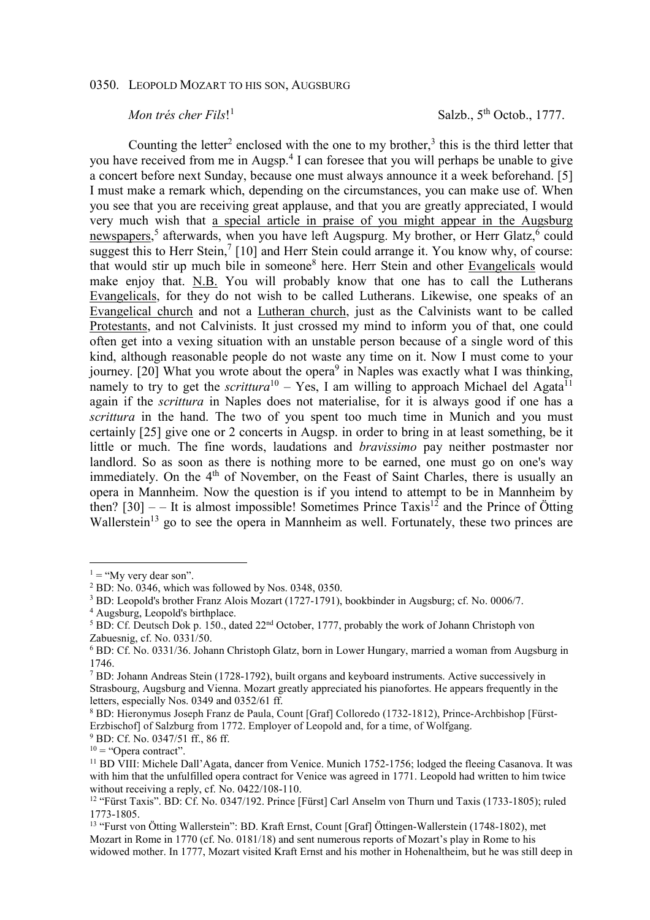## 0350. LEOPOLD MOZART TO HIS SON, AUGSBURG

## *Mon trés cher Fils*! 1

Salzb.,  $5<sup>th</sup>$  Octob., 1777.

Counting the letter<sup>2</sup> enclosed with the one to my brother,<sup>3</sup> this is the third letter that you have received from me in Augsp.<sup>4</sup> I can foresee that you will perhaps be unable to give a concert before next Sunday, because one must always announce it a week beforehand. [5] I must make a remark which, depending on the circumstances, you can make use of. When you see that you are receiving great applause, and that you are greatly appreciated, I would very much wish that a special article in praise of you might appear in the Augsburg newspapers,<sup>5</sup> afterwards, when you have left Augspurg. My brother, or Herr Glatz,<sup>6</sup> could suggest this to Herr Stein,<sup>7</sup> [10] and Herr Stein could arrange it. You know why, of course: that would stir up much bile in someone<sup>8</sup> here. Herr Stein and other Evangelicals would make enjoy that. N.B. You will probably know that one has to call the Lutherans Evangelicals, for they do not wish to be called Lutherans. Likewise, one speaks of an Evangelical church and not a Lutheran church, just as the Calvinists want to be called Protestants, and not Calvinists. It just crossed my mind to inform you of that, one could often get into a vexing situation with an unstable person because of a single word of this kind, although reasonable people do not waste any time on it. Now I must come to your journey. [20] What you wrote about the opera<sup>9</sup> in Naples was exactly what I was thinking, namely to try to get the *scrittura*<sup>10</sup> – Yes, I am willing to approach Michael del Agata<sup>11</sup> again if the *scrittura* in Naples does not materialise, for it is always good if one has a *scrittura* in the hand. The two of you spent too much time in Munich and you must certainly [25] give one or 2 concerts in Augsp. in order to bring in at least something, be it little or much. The fine words, laudations and *bravissimo* pay neither postmaster nor landlord. So as soon as there is nothing more to be earned, one must go on one's way immediately. On the 4<sup>th</sup> of November, on the Feast of Saint Charles, there is usually an opera in Mannheim. Now the question is if you intend to attempt to be in Mannheim by then?  $[30]$  – – It is almost impossible! Sometimes Prince Taxis<sup>12</sup> and the Prince of Ötting Wallerstein<sup>13</sup> go to see the opera in Mannheim as well. Fortunately, these two princes are

 $1 =$  "My very dear son".

<sup>2</sup> BD: No. 0346, which was followed by Nos. 0348, 0350.

<sup>&</sup>lt;sup>3</sup> BD: Leopold's brother Franz Alois Mozart (1727-1791), bookbinder in Augsburg; cf. No. 0006/7.

<sup>4</sup> Augsburg, Leopold's birthplace.

<sup>&</sup>lt;sup>5</sup> BD: Cf. Deutsch Dok p. 150., dated  $22<sup>nd</sup>$  October, 1777, probably the work of Johann Christoph von Zabuesnig, cf. No. 0331/50.

<sup>6</sup> BD: Cf. No. 0331/36. Johann Christoph Glatz, born in Lower Hungary, married a woman from Augsburg in 1746.

<sup>&</sup>lt;sup>7</sup> BD: Johann Andreas Stein (1728-1792), built organs and keyboard instruments. Active successively in Strasbourg, Augsburg and Vienna. Mozart greatly appreciated his pianofortes. He appears frequently in the letters, especially Nos. 0349 and 0352/61 ff.

<sup>8</sup> BD: Hieronymus Joseph Franz de Paula, Count [Graf] Colloredo (1732-1812), Prince-Archbishop [Fürst-Erzbischof] of Salzburg from 1772. Employer of Leopold and, for a time, of Wolfgang. 9 BD: Cf. No. 0347/51 ff., 86 ff.

 $10 =$  "Opera contract".

<sup>&</sup>lt;sup>11</sup> BD VIII: Michele Dall'Agata, dancer from Venice. Munich 1752-1756; lodged the fleeing Casanova. It was with him that the unfulfilled opera contract for Venice was agreed in 1771. Leopold had written to him twice without receiving a reply, cf. No. 0422/108-110.

<sup>&</sup>lt;sup>12</sup> "Fürst Taxis". BD: Cf. No. 0347/192. Prince [Fürst] Carl Anselm von Thurn und Taxis (1733-1805); ruled 1773-1805.

<sup>13</sup> "Furst von Ötting Wallerstein": BD. Kraft Ernst, Count [Graf] Öttingen-Wallerstein (1748-1802), met Mozart in Rome in 1770 (cf. No. 0181/18) and sent numerous reports of Mozart's play in Rome to his widowed mother. In 1777, Mozart visited Kraft Ernst and his mother in Hohenaltheim, but he was still deep in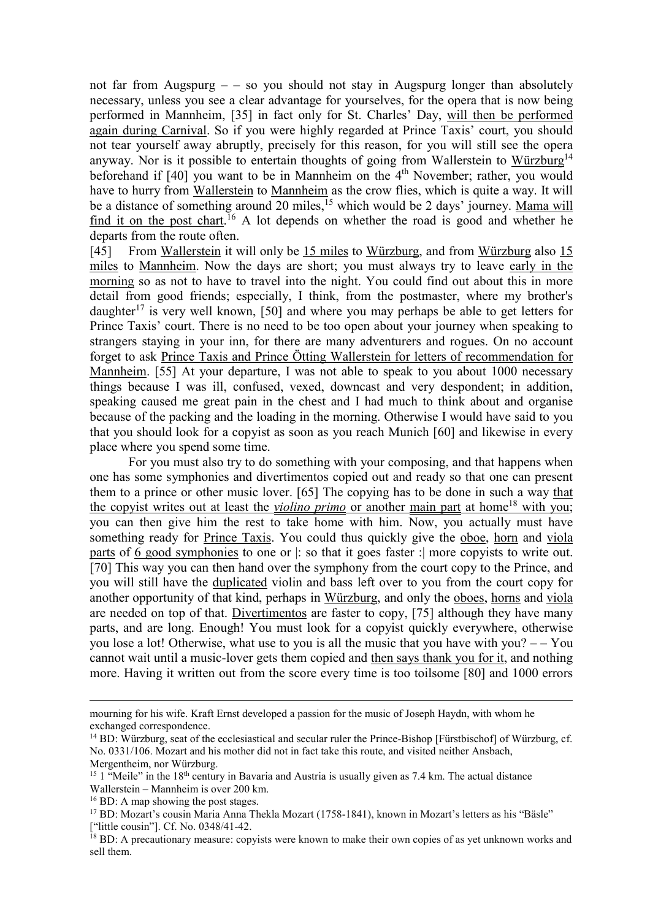not far from Augspurg – – so you should not stay in Augspurg longer than absolutely necessary, unless you see a clear advantage for yourselves, for the opera that is now being performed in Mannheim, [35] in fact only for St. Charles' Day, will then be performed again during Carnival. So if you were highly regarded at Prince Taxis' court, you should not tear yourself away abruptly, precisely for this reason, for you will still see the opera anyway. Nor is it possible to entertain thoughts of going from Wallerstein to Würzburg<sup>14</sup> beforehand if [40] you want to be in Mannheim on the 4<sup>th</sup> November; rather, you would have to hurry from Wallerstein to Mannheim as the crow flies, which is quite a way. It will be a distance of something around 20 miles,<sup>15</sup> which would be 2 days' journey. Mama will find it on the post chart.<sup>16</sup> A lot depends on whether the road is good and whether he departs from the route often.

[45] From Wallerstein it will only be 15 miles to Würzburg, and from Würzburg also 15 miles to Mannheim. Now the days are short; you must always try to leave early in the morning so as not to have to travel into the night. You could find out about this in more detail from good friends; especially, I think, from the postmaster, where my brother's daughter<sup>17</sup> is very well known, [50] and where you may perhaps be able to get letters for Prince Taxis' court. There is no need to be too open about your journey when speaking to strangers staying in your inn, for there are many adventurers and rogues. On no account forget to ask Prince Taxis and Prince Ötting Wallerstein for letters of recommendation for Mannheim. [55] At your departure, I was not able to speak to you about 1000 necessary things because I was ill, confused, vexed, downcast and very despondent; in addition, speaking caused me great pain in the chest and I had much to think about and organise because of the packing and the loading in the morning. Otherwise I would have said to you that you should look for a copyist as soon as you reach Munich [60] and likewise in every place where you spend some time.

For you must also try to do something with your composing, and that happens when one has some symphonies and divertimentos copied out and ready so that one can present them to a prince or other music lover. [65] The copying has to be done in such a way that the copyist writes out at least the *violino primo* or another main part at home<sup>18</sup> with you; you can then give him the rest to take home with him. Now, you actually must have something ready for Prince Taxis. You could thus quickly give the oboe, horn and viola parts of 6 good symphonies to one or |: so that it goes faster :| more copyists to write out. [70] This way you can then hand over the symphony from the court copy to the Prince, and you will still have the duplicated violin and bass left over to you from the court copy for another opportunity of that kind, perhaps in Würzburg, and only the oboes, horns and viola are needed on top of that. Divertimentos are faster to copy, [75] although they have many parts, and are long. Enough! You must look for a copyist quickly everywhere, otherwise you lose a lot! Otherwise, what use to you is all the music that you have with you? – – You cannot wait until a music-lover gets them copied and then says thank you for it, and nothing more. Having it written out from the score every time is too toilsome [80] and 1000 errors

mourning for his wife. Kraft Ernst developed a passion for the music of Joseph Haydn, with whom he exchanged correspondence.

<sup>&</sup>lt;sup>14</sup> BD: Würzburg, seat of the ecclesiastical and secular ruler the Prince-Bishop [Fürstbischof] of Würzburg, cf. No. 0331/106. Mozart and his mother did not in fact take this route, and visited neither Ansbach, Mergentheim, nor Würzburg.

<sup>&</sup>lt;sup>15</sup> 1 "Meile" in the 18<sup>th</sup> century in Bavaria and Austria is usually given as 7.4 km. The actual distance Wallerstein – Mannheim is over 200 km.

<sup>&</sup>lt;sup>16</sup> BD: A map showing the post stages.

<sup>17</sup> BD: Mozart's cousin Maria Anna Thekla Mozart (1758-1841), known in Mozart's letters as his "Bäsle" ["little cousin"]. Cf. No. 0348/41-42.

<sup>&</sup>lt;sup>18</sup> BD: A precautionary measure: copyists were known to make their own copies of as yet unknown works and sell them.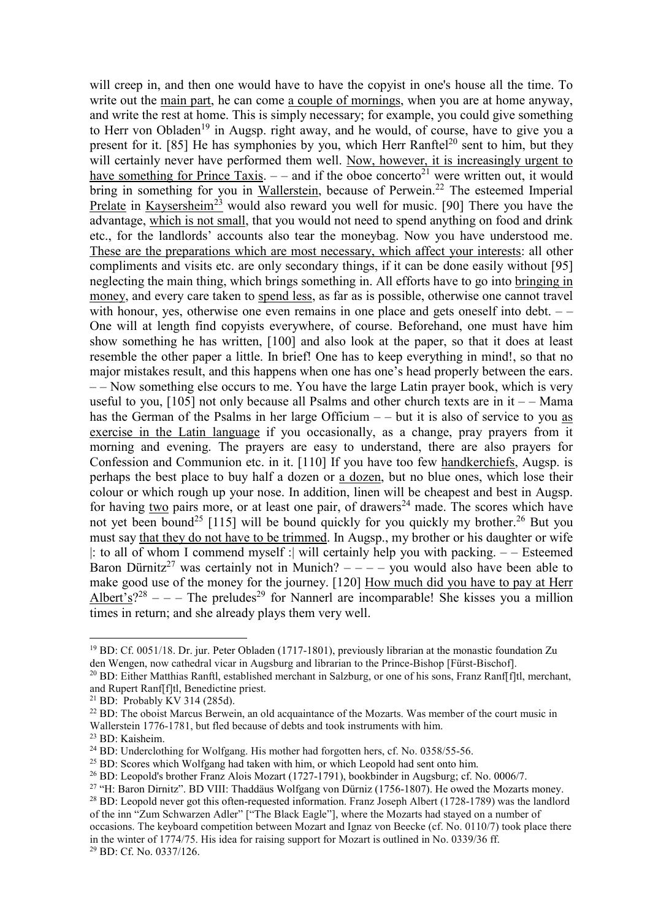will creep in, and then one would have to have the copyist in one's house all the time. To write out the main part, he can come a couple of mornings, when you are at home anyway, and write the rest at home. This is simply necessary; for example, you could give something to Herr von Obladen<sup>19</sup> in Augsp. right away, and he would, of course, have to give you a present for it. [85] He has symphonies by you, which Herr Ranftel<sup>20</sup> sent to him, but they will certainly never have performed them well. Now, however, it is increasingly urgent to have something for Prince Taxis.  $-$  and if the oboe concerto<sup>21</sup> were written out, it would bring in something for you in Wallerstein, because of Perwein.<sup>22</sup> The esteemed Imperial Prelate in Kaysersheim<sup>23</sup> would also reward you well for music. [90] There you have the advantage, which is not small, that you would not need to spend anything on food and drink etc., for the landlords' accounts also tear the moneybag. Now you have understood me. These are the preparations which are most necessary, which affect your interests: all other compliments and visits etc. are only secondary things, if it can be done easily without [95] neglecting the main thing, which brings something in. All efforts have to go into bringing in money, and every care taken to spend less, as far as is possible, otherwise one cannot travel with honour, yes, otherwise one even remains in one place and gets oneself into debt.  $-$ One will at length find copyists everywhere, of course. Beforehand, one must have him show something he has written, [100] and also look at the paper, so that it does at least resemble the other paper a little. In brief! One has to keep everything in mind!, so that no major mistakes result, and this happens when one has one's head properly between the ears. – – Now something else occurs to me. You have the large Latin prayer book, which is very useful to you,  $[105]$  not only because all Psalms and other church texts are in it  $-$  – Mama has the German of the Psalms in her large Officium – – but it is also of service to you as exercise in the Latin language if you occasionally, as a change, pray prayers from it morning and evening. The prayers are easy to understand, there are also prayers for Confession and Communion etc. in it. [110] If you have too few handkerchiefs, Augsp. is perhaps the best place to buy half a dozen or a dozen, but no blue ones, which lose their colour or which rough up your nose. In addition, linen will be cheapest and best in Augsp. for having two pairs more, or at least one pair, of drawers<sup>24</sup> made. The scores which have not yet been bound<sup>25</sup> [115] will be bound quickly for you quickly my brother.<sup>26</sup> But you must say that they do not have to be trimmed. In Augsp., my brother or his daughter or wife |: to all of whom I commend myself :| will certainly help you with packing. – – Esteemed Baron Dürnitz<sup>27</sup> was certainly not in Munich?  $---$  you would also have been able to make good use of the money for the journey. [120] How much did you have to pay at Herr Albert's?<sup>28</sup> – – – The preludes<sup>29</sup> for Nannerl are incomparable! She kisses you a million times in return; and she already plays them very well.

 $\overline{a}$ <sup>19</sup> BD: Cf. 0051/18. Dr. jur. Peter Obladen (1717-1801), previously librarian at the monastic foundation Zu den Wengen, now cathedral vicar in Augsburg and librarian to the Prince-Bishop [Fürst-Bischof].

<sup>&</sup>lt;sup>20</sup> BD: Either Matthias Ranftl, established merchant in Salzburg, or one of his sons, Franz Ranf[f]tl, merchant, and Rupert Ranf[f]tl, Benedictine priest.

<sup>21</sup> BD: Probably KV 314 (285d).

<sup>&</sup>lt;sup>22</sup> BD: The oboist Marcus Berwein, an old acquaintance of the Mozarts. Was member of the court music in Wallerstein 1776-1781, but fled because of debts and took instruments with him.

<sup>23</sup> BD: Kaisheim.

<sup>24</sup> BD: Underclothing for Wolfgang. His mother had forgotten hers, cf. No. 0358/55-56.

<sup>&</sup>lt;sup>25</sup> BD: Scores which Wolfgang had taken with him, or which Leopold had sent onto him.

<sup>&</sup>lt;sup>26</sup> BD: Leopold's brother Franz Alois Mozart (1727-1791), bookbinder in Augsburg; cf. No. 0006/7.

<sup>27</sup> "H: Baron Dirnitz". BD VIII: Thaddäus Wolfgang von Dürniz (1756-1807). He owed the Mozarts money.

<sup>&</sup>lt;sup>28</sup> BD: Leopold never got this often-requested information. Franz Joseph Albert (1728-1789) was the landlord of the inn "Zum Schwarzen Adler" ["The Black Eagle"], where the Mozarts had stayed on a number of occasions. The keyboard competition between Mozart and Ignaz von Beecke (cf. No. 0110/7) took place there in the winter of 1774/75. His idea for raising support for Mozart is outlined in No. 0339/36 ff. 29 BD: Cf. No. 0337/126.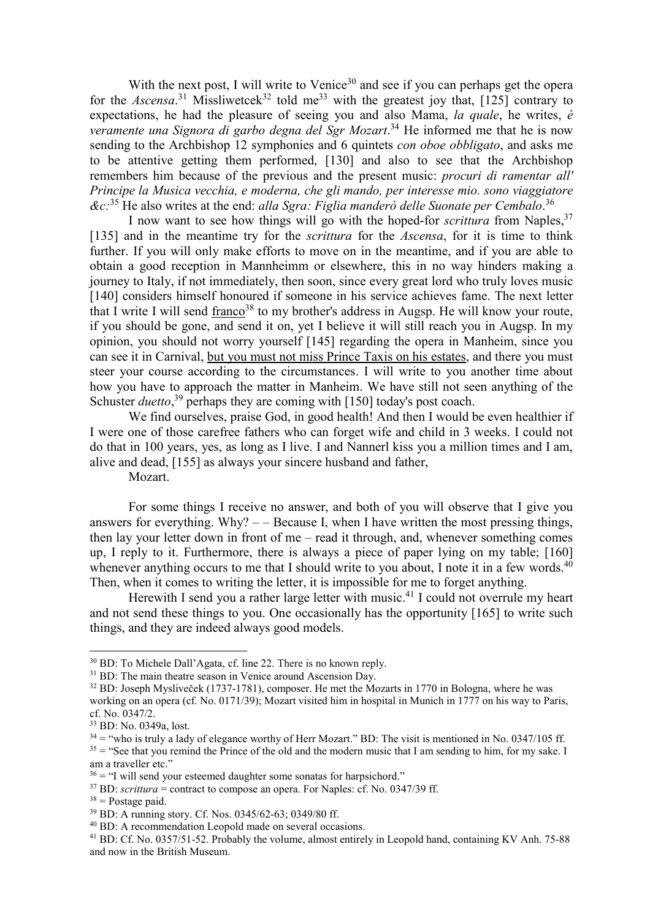With the next post, I will write to Venice<sup>30</sup> and see if you can perhaps get the opera for the *Ascensa*.<sup>31</sup> Missliwetcek<sup>32</sup> told me<sup>33</sup> with the greatest joy that, [125] contrary to expectations, he had the pleasure of seeing you and also Mama, *la quale*, he writes, *è veramente una Signora di garbo degna del Sgr Mozart*. <sup>34</sup> He informed me that he is now sending to the Archbishop 12 symphonies and 6 quintets *con oboe obbligato*, and asks me to be attentive getting them performed, [130] and also to see that the Archbishop remembers him because of the previous and the present music: *procuri di ramentar all' Principe la Musica vecchia, e moderna, che gli mando, per interesse mio. sono viaggiatore &c:*<sup>35</sup> He also writes at the end: *alla Sgra: Figlia manderò delle Suonate per Cembalo*. 36

I now want to see how things will go with the hoped-for *scrittura* from Naples,<sup>37</sup> [135] and in the meantime try for the *scrittura* for the *Ascensa*, for it is time to think further. If you will only make efforts to move on in the meantime, and if you are able to obtain a good reception in Mannheimm or elsewhere, this in no way hinders making a journey to Italy, if not immediately, then soon, since every great lord who truly loves music [140] considers himself honoured if someone in his service achieves fame. The next letter that I write I will send franco<sup>38</sup> to my brother's address in Augsp. He will know your route, if you should be gone, and send it on, yet I believe it will still reach you in Augsp. In my opinion, you should not worry yourself [145] regarding the opera in Manheim, since you can see it in Carnival, but you must not miss Prince Taxis on his estates, and there you must steer your course according to the circumstances. I will write to you another time about how you have to approach the matter in Manheim. We have still not seen anything of the Schuster *duetto*,<sup>39</sup> perhaps they are coming with [150] today's post coach.

We find ourselves, praise God, in good health! And then I would be even healthier if I were one of those carefree fathers who can forget wife and child in 3 weeks. I could not do that in 100 years, yes, as long as I live. I and Nannerl kiss you a million times and I am, alive and dead, [155] as always your sincere husband and father,

Mozart.

For some things I receive no answer, and both of you will observe that I give you answers for everything. Why?  $-$  Because I, when I have written the most pressing things, then lay your letter down in front of me – read it through, and, whenever something comes up, I reply to it. Furthermore, there is always a piece of paper lying on my table; [160] whenever anything occurs to me that I should write to you about, I note it in a few words.<sup>40</sup> Then, when it comes to writing the letter, it is impossible for me to forget anything.

Herewith I send you a rather large letter with music.<sup>41</sup> I could not overrule my heart and not send these things to you. One occasionally has the opportunity [165] to write such things, and they are indeed always good models.

<sup>30</sup> BD: To Michele Dall'Agata, cf. line 22. There is no known reply.

 $31$  BD: The main theatre season in Venice around Ascension Day.

<sup>&</sup>lt;sup>32</sup> BD: Joseph Mysliveček (1737-1781), composer. He met the Mozarts in 1770 in Bologna, where he was working on an opera (cf. No. 0171/39); Mozart visited him in hospital in Munich in 1777 on his way to Paris, cf. No. 0347/2.

<sup>33</sup> BD: No. 0349a, lost.

 $34 =$  "who is truly a lady of elegance worthy of Herr Mozart." BD: The visit is mentioned in No. 0347/105 ff.  $35 =$  "See that you remind the Prince of the old and the modern music that I am sending to him, for my sake. I am a traveller etc."

 $36 =$  "I will send your esteemed daughter some sonatas for harpsichord."

 $37$  BD: *scrittura* = contract to compose an opera. For Naples: cf. No. 0347/39 ff.

 $38$  = Postage paid.

<sup>39</sup> BD: A running story. Cf. Nos. 0345/62-63; 0349/80 ff.

<sup>40</sup> BD: A recommendation Leopold made on several occasions.

<sup>&</sup>lt;sup>41</sup> BD: Cf. No. 0357/51-52. Probably the volume, almost entirely in Leopold hand, containing KV Anh. 75-88 and now in the British Museum.